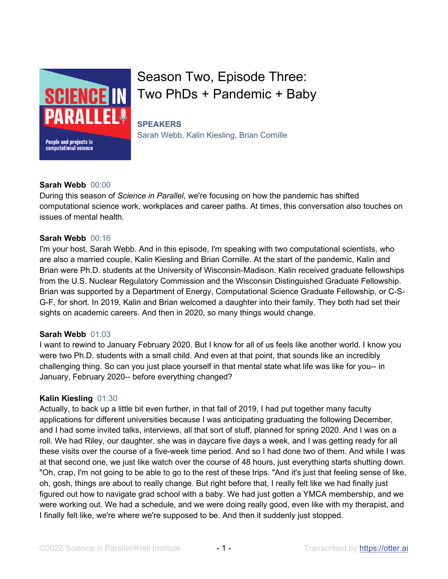

# Season Two, Episode Three: Two PhDs + Pandemic + Baby

## **SPEAKERS**

Sarah Webb, Kalin Kiesling, Brian Cornille

## **Sarah Webb** 00:00

During this season of *Science in Parallel*, we're focusing on how the pandemic has shifted computational science work, workplaces and career paths. At times, this conversation also touches on issues of mental health.

## **Sarah Webb** 00:16

I'm your host, Sarah Webb. And in this episode, I'm speaking with two computational scientists, who are also a married couple, Kalin Kiesling and Brian Cornille. At the start of the pandemic, Kalin and Brian were Ph.D. students at the University of Wisconsin-Madison. Kalin received graduate fellowships from the U.S. Nuclear Regulatory Commission and the Wisconsin Distinguished Graduate Fellowship. Brian was supported by a Department of Energy, Computational Science Graduate Fellowship, or C-S-G-F, for short. In 2019, Kalin and Brian welcomed a daughter into their family. They both had set their sights on academic careers. And then in 2020, so many things would change.

## **Sarah Webb** 01:03

I want to rewind to January February 2020. But I know for all of us feels like another world. I know you were two Ph.D. students with a small child. And even at that point, that sounds like an incredibly challenging thing. So can you just place yourself in that mental state what life was like for you-- in January, February 2020-- before everything changed?

## **Kalin Kiesling** 01:30

Actually, to back up a little bit even further, in that fall of 2019, I had put together many faculty applications for different universities because I was anticipating graduating the following December, and I had some invited talks, interviews, all that sort of stuff, planned for spring 2020. And I was on a roll. We had Riley, our daughter, she was in daycare five days a week, and I was getting ready for all these visits over the course of a five-week time period. And so I had done two of them. And while I was at that second one, we just like watch over the course of 48 hours, just everything starts shutting down. "Oh, crap, I'm not going to be able to go to the rest of these trips. "And it's just that feeling sense of like, oh, gosh, things are about to really change. But right before that, I really felt like we had finally just figured out how to navigate grad school with a baby. We had just gotten a YMCA membership, and we were working out. We had a schedule, and we were doing really good, even like with my therapist, and I finally felt like, we're where we're supposed to be. And then it suddenly just stopped.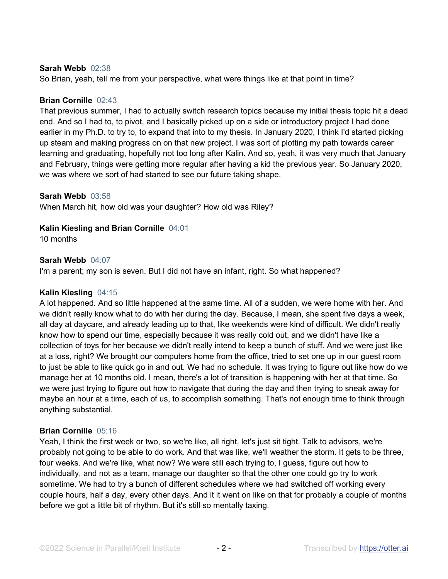#### **Sarah Webb** 02:38

So Brian, yeah, tell me from your perspective, what were things like at that point in time?

#### **Brian Cornille** 02:43

That previous summer, I had to actually switch research topics because my initial thesis topic hit a dead end. And so I had to, to pivot, and I basically picked up on a side or introductory project I had done earlier in my Ph.D. to try to, to expand that into to my thesis. In January 2020, I think I'd started picking up steam and making progress on on that new project. I was sort of plotting my path towards career learning and graduating, hopefully not too long after Kalin. And so, yeah, it was very much that January and February, things were getting more regular after having a kid the previous year. So January 2020, we was where we sort of had started to see our future taking shape.

#### **Sarah Webb** 03:58

When March hit, how old was your daughter? How old was Riley?

#### **Kalin Kiesling and Brian Cornille** 04:01

10 months

#### **Sarah Webb** 04:07

I'm a parent; my son is seven. But I did not have an infant, right. So what happened?

#### **Kalin Kiesling** 04:15

A lot happened. And so little happened at the same time. All of a sudden, we were home with her. And we didn't really know what to do with her during the day. Because, I mean, she spent five days a week, all day at daycare, and already leading up to that, like weekends were kind of difficult. We didn't really know how to spend our time, especially because it was really cold out, and we didn't have like a collection of toys for her because we didn't really intend to keep a bunch of stuff. And we were just like at a loss, right? We brought our computers home from the office, tried to set one up in our guest room to just be able to like quick go in and out. We had no schedule. It was trying to figure out like how do we manage her at 10 months old. I mean, there's a lot of transition is happening with her at that time. So we were just trying to figure out how to navigate that during the day and then trying to sneak away for maybe an hour at a time, each of us, to accomplish something. That's not enough time to think through anything substantial.

#### **Brian Cornille** 05:16

Yeah, I think the first week or two, so we're like, all right, let's just sit tight. Talk to advisors, we're probably not going to be able to do work. And that was like, we'll weather the storm. It gets to be three, four weeks. And we're like, what now? We were still each trying to, I guess, figure out how to individually, and not as a team, manage our daughter so that the other one could go try to work sometime. We had to try a bunch of different schedules where we had switched off working every couple hours, half a day, every other days. And it it went on like on that for probably a couple of months before we got a little bit of rhythm. But it's still so mentally taxing.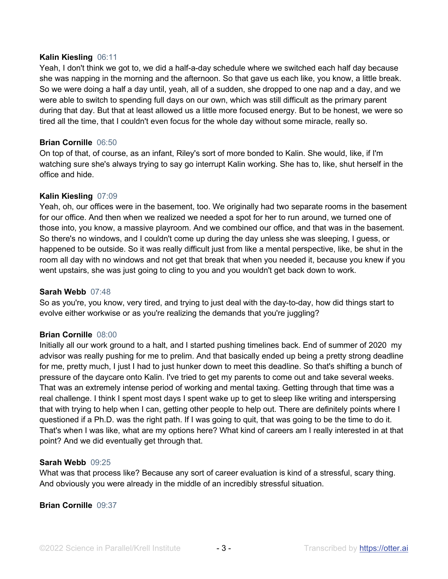#### **Kalin Kiesling** 06:11

Yeah, I don't think we got to, we did a half-a-day schedule where we switched each half day because she was napping in the morning and the afternoon. So that gave us each like, you know, a little break. So we were doing a half a day until, yeah, all of a sudden, she dropped to one nap and a day, and we were able to switch to spending full days on our own, which was still difficult as the primary parent during that day. But that at least allowed us a little more focused energy. But to be honest, we were so tired all the time, that I couldn't even focus for the whole day without some miracle, really so.

#### **Brian Cornille** 06:50

On top of that, of course, as an infant, Riley's sort of more bonded to Kalin. She would, like, if I'm watching sure she's always trying to say go interrupt Kalin working. She has to, like, shut herself in the office and hide.

#### **Kalin Kiesling** 07:09

Yeah, oh, our offices were in the basement, too. We originally had two separate rooms in the basement for our office. And then when we realized we needed a spot for her to run around, we turned one of those into, you know, a massive playroom. And we combined our office, and that was in the basement. So there's no windows, and I couldn't come up during the day unless she was sleeping, I guess, or happened to be outside. So it was really difficult just from like a mental perspective, like, be shut in the room all day with no windows and not get that break that when you needed it, because you knew if you went upstairs, she was just going to cling to you and you wouldn't get back down to work.

#### **Sarah Webb** 07:48

So as you're, you know, very tired, and trying to just deal with the day-to-day, how did things start to evolve either workwise or as you're realizing the demands that you're juggling?

#### **Brian Cornille** 08:00

Initially all our work ground to a halt, and I started pushing timelines back. End of summer of 2020 my advisor was really pushing for me to prelim. And that basically ended up being a pretty strong deadline for me, pretty much, I just I had to just hunker down to meet this deadline. So that's shifting a bunch of pressure of the daycare onto Kalin. I've tried to get my parents to come out and take several weeks. That was an extremely intense period of working and mental taxing. Getting through that time was a real challenge. I think I spent most days I spent wake up to get to sleep like writing and interspersing that with trying to help when I can, getting other people to help out. There are definitely points where I questioned if a Ph.D. was the right path. If I was going to quit, that was going to be the time to do it. That's when I was like, what are my options here? What kind of careers am I really interested in at that point? And we did eventually get through that.

#### **Sarah Webb** 09:25

What was that process like? Because any sort of career evaluation is kind of a stressful, scary thing. And obviously you were already in the middle of an incredibly stressful situation.

#### **Brian Cornille** 09:37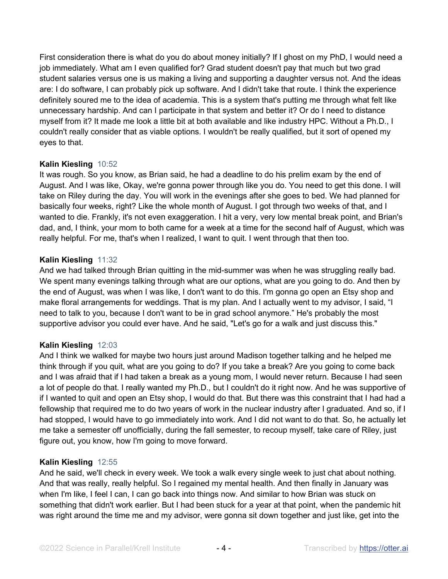First consideration there is what do you do about money initially? If I ghost on my PhD, I would need a job immediately. What am I even qualified for? Grad student doesn't pay that much but two grad student salaries versus one is us making a living and supporting a daughter versus not. And the ideas are: I do software, I can probably pick up software. And I didn't take that route. I think the experience definitely soured me to the idea of academia. This is a system that's putting me through what felt like unnecessary hardship. And can I participate in that system and better it? Or do I need to distance myself from it? It made me look a little bit at both available and like industry HPC. Without a Ph.D., I couldn't really consider that as viable options. I wouldn't be really qualified, but it sort of opened my eyes to that.

## **Kalin Kiesling** 10:52

It was rough. So you know, as Brian said, he had a deadline to do his prelim exam by the end of August. And I was like, Okay, we're gonna power through like you do. You need to get this done. I will take on Riley during the day. You will work in the evenings after she goes to bed. We had planned for basically four weeks, right? Like the whole month of August. I got through two weeks of that, and I wanted to die. Frankly, it's not even exaggeration. I hit a very, very low mental break point, and Brian's dad, and, I think, your mom to both came for a week at a time for the second half of August, which was really helpful. For me, that's when I realized, I want to quit. I went through that then too.

#### **Kalin Kiesling** 11:32

And we had talked through Brian quitting in the mid-summer was when he was struggling really bad. We spent many evenings talking through what are our options, what are you going to do. And then by the end of August, was when I was like, I don't want to do this. I'm gonna go open an Etsy shop and make floral arrangements for weddings. That is my plan. And I actually went to my advisor, I said, "I need to talk to you, because I don't want to be in grad school anymore." He's probably the most supportive advisor you could ever have. And he said, "Let's go for a walk and just discuss this."

## **Kalin Kiesling** 12:03

And I think we walked for maybe two hours just around Madison together talking and he helped me think through if you quit, what are you going to do? If you take a break? Are you going to come back and I was afraid that if I had taken a break as a young mom, I would never return. Because I had seen a lot of people do that. I really wanted my Ph.D., but I couldn't do it right now. And he was supportive of if I wanted to quit and open an Etsy shop, I would do that. But there was this constraint that I had had a fellowship that required me to do two years of work in the nuclear industry after I graduated. And so, if I had stopped, I would have to go immediately into work. And I did not want to do that. So, he actually let me take a semester off unofficially, during the fall semester, to recoup myself, take care of Riley, just figure out, you know, how I'm going to move forward.

#### **Kalin Kiesling** 12:55

And he said, we'll check in every week. We took a walk every single week to just chat about nothing. And that was really, really helpful. So I regained my mental health. And then finally in January was when I'm like, I feel I can, I can go back into things now. And similar to how Brian was stuck on something that didn't work earlier. But I had been stuck for a year at that point, when the pandemic hit was right around the time me and my advisor, were gonna sit down together and just like, get into the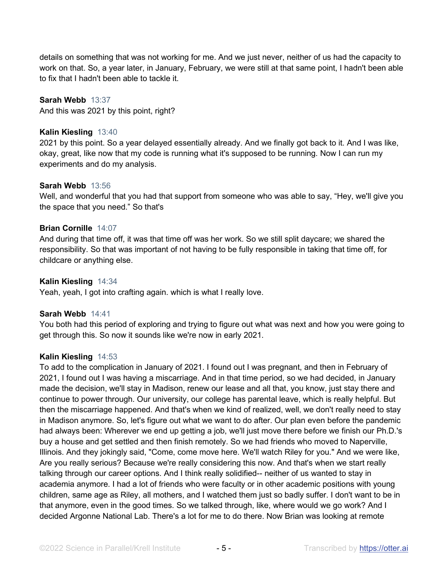details on something that was not working for me. And we just never, neither of us had the capacity to work on that. So, a year later, in January, February, we were still at that same point, I hadn't been able to fix that I hadn't been able to tackle it.

## **Sarah Webb** 13:37

And this was 2021 by this point, right?

## **Kalin Kiesling** 13:40

2021 by this point. So a year delayed essentially already. And we finally got back to it. And I was like, okay, great, like now that my code is running what it's supposed to be running. Now I can run my experiments and do my analysis.

#### **Sarah Webb** 13:56

Well, and wonderful that you had that support from someone who was able to say, "Hey, we'll give you the space that you need." So that's

## **Brian Cornille** 14:07

And during that time off, it was that time off was her work. So we still split daycare; we shared the responsibility. So that was important of not having to be fully responsible in taking that time off, for childcare or anything else.

## **Kalin Kiesling** 14:34

Yeah, yeah, I got into crafting again. which is what I really love.

## **Sarah Webb** 14:41

You both had this period of exploring and trying to figure out what was next and how you were going to get through this. So now it sounds like we're now in early 2021.

#### **Kalin Kiesling** 14:53

To add to the complication in January of 2021. I found out I was pregnant, and then in February of 2021, I found out I was having a miscarriage. And in that time period, so we had decided, in January made the decision, we'll stay in Madison, renew our lease and all that, you know, just stay there and continue to power through. Our university, our college has parental leave, which is really helpful. But then the miscarriage happened. And that's when we kind of realized, well, we don't really need to stay in Madison anymore. So, let's figure out what we want to do after. Our plan even before the pandemic had always been: Wherever we end up getting a job, we'll just move there before we finish our Ph.D.'s buy a house and get settled and then finish remotely. So we had friends who moved to Naperville, Illinois. And they jokingly said, "Come, come move here. We'll watch Riley for you." And we were like, Are you really serious? Because we're really considering this now. And that's when we start really talking through our career options. And I think really solidified-- neither of us wanted to stay in academia anymore. I had a lot of friends who were faculty or in other academic positions with young children, same age as Riley, all mothers, and I watched them just so badly suffer. I don't want to be in that anymore, even in the good times. So we talked through, like, where would we go work? And I decided Argonne National Lab. There's a lot for me to do there. Now Brian was looking at remote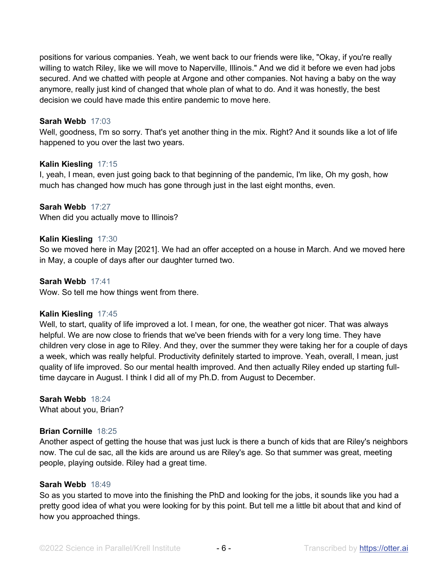positions for various companies. Yeah, we went back to our friends were like, "Okay, if you're really willing to watch Riley, like we will move to Naperville, Illinois." And we did it before we even had jobs secured. And we chatted with people at Argone and other companies. Not having a baby on the way anymore, really just kind of changed that whole plan of what to do. And it was honestly, the best decision we could have made this entire pandemic to move here.

#### **Sarah Webb** 17:03

Well, goodness, I'm so sorry. That's yet another thing in the mix. Right? And it sounds like a lot of life happened to you over the last two years.

#### **Kalin Kiesling** 17:15

I, yeah, I mean, even just going back to that beginning of the pandemic, I'm like, Oh my gosh, how much has changed how much has gone through just in the last eight months, even.

#### **Sarah Webb** 17:27

When did you actually move to Illinois?

#### **Kalin Kiesling** 17:30

So we moved here in May [2021]. We had an offer accepted on a house in March. And we moved here in May, a couple of days after our daughter turned two.

## **Sarah Webb** 17:41

Wow. So tell me how things went from there.

#### **Kalin Kiesling** 17:45

Well, to start, quality of life improved a lot. I mean, for one, the weather got nicer. That was always helpful. We are now close to friends that we've been friends with for a very long time. They have children very close in age to Riley. And they, over the summer they were taking her for a couple of days a week, which was really helpful. Productivity definitely started to improve. Yeah, overall, I mean, just quality of life improved. So our mental health improved. And then actually Riley ended up starting fulltime daycare in August. I think I did all of my Ph.D. from August to December.

## **Sarah Webb** 18:24

What about you, Brian?

#### **Brian Cornille** 18:25

Another aspect of getting the house that was just luck is there a bunch of kids that are Riley's neighbors now. The cul de sac, all the kids are around us are Riley's age. So that summer was great, meeting people, playing outside. Riley had a great time.

#### **Sarah Webb** 18:49

So as you started to move into the finishing the PhD and looking for the jobs, it sounds like you had a pretty good idea of what you were looking for by this point. But tell me a little bit about that and kind of how you approached things.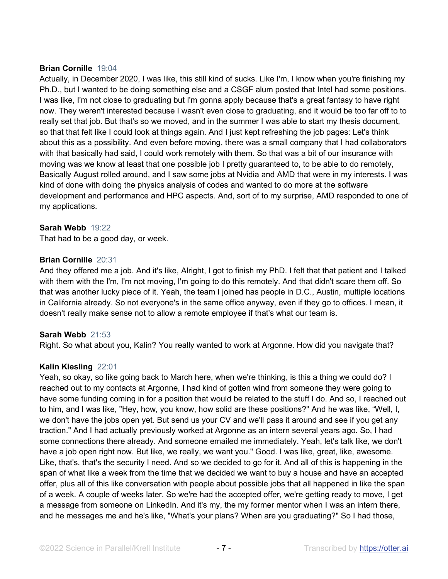#### **Brian Cornille** 19:04

Actually, in December 2020, I was like, this still kind of sucks. Like I'm, I know when you're finishing my Ph.D., but I wanted to be doing something else and a CSGF alum posted that Intel had some positions. I was like, I'm not close to graduating but I'm gonna apply because that's a great fantasy to have right now. They weren't interested because I wasn't even close to graduating, and it would be too far off to to really set that job. But that's so we moved, and in the summer I was able to start my thesis document, so that that felt like I could look at things again. And I just kept refreshing the job pages: Let's think about this as a possibility. And even before moving, there was a small company that I had collaborators with that basically had said, I could work remotely with them. So that was a bit of our insurance with moving was we know at least that one possible job I pretty guaranteed to, to be able to do remotely, Basically August rolled around, and I saw some jobs at Nvidia and AMD that were in my interests. I was kind of done with doing the physics analysis of codes and wanted to do more at the software development and performance and HPC aspects. And, sort of to my surprise, AMD responded to one of my applications.

#### **Sarah Webb** 19:22

That had to be a good day, or week.

#### **Brian Cornille** 20:31

And they offered me a job. And it's like, Alright, I got to finish my PhD. I felt that that patient and I talked with them with the I'm, I'm not moving, I'm going to do this remotely. And that didn't scare them off. So that was another lucky piece of it. Yeah, the team I joined has people in D.C., Austin, multiple locations in California already. So not everyone's in the same office anyway, even if they go to offices. I mean, it doesn't really make sense not to allow a remote employee if that's what our team is.

#### **Sarah Webb** 21:53

Right. So what about you, Kalin? You really wanted to work at Argonne. How did you navigate that?

#### **Kalin Kiesling** 22:01

Yeah, so okay, so like going back to March here, when we're thinking, is this a thing we could do? I reached out to my contacts at Argonne, I had kind of gotten wind from someone they were going to have some funding coming in for a position that would be related to the stuff I do. And so, I reached out to him, and I was like, "Hey, how, you know, how solid are these positions?" And he was like, "Well, I, we don't have the jobs open yet. But send us your CV and we'll pass it around and see if you get any traction." And I had actually previously worked at Argonne as an intern several years ago. So, I had some connections there already. And someone emailed me immediately. Yeah, let's talk like, we don't have a job open right now. But like, we really, we want you." Good. I was like, great, like, awesome. Like, that's, that's the security I need. And so we decided to go for it. And all of this is happening in the span of what like a week from the time that we decided we want to buy a house and have an accepted offer, plus all of this like conversation with people about possible jobs that all happened in like the span of a week. A couple of weeks later. So we're had the accepted offer, we're getting ready to move, I get a message from someone on LinkedIn. And it's my, the my former mentor when I was an intern there, and he messages me and he's like, "What's your plans? When are you graduating?" So I had those,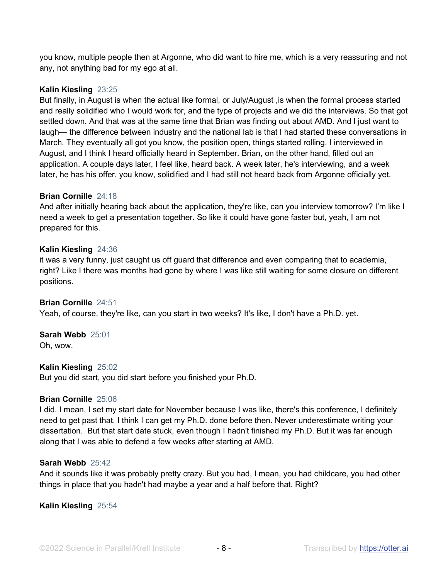you know, multiple people then at Argonne, who did want to hire me, which is a very reassuring and not any, not anything bad for my ego at all.

#### **Kalin Kiesling** 23:25

But finally, in August is when the actual like formal, or July/August ,is when the formal process started and really solidified who I would work for, and the type of projects and we did the interviews. So that got settled down. And that was at the same time that Brian was finding out about AMD. And I just want to laugh— the difference between industry and the national lab is that I had started these conversations in March. They eventually all got you know, the position open, things started rolling. I interviewed in August, and I think I heard officially heard in September. Brian, on the other hand, filled out an application. A couple days later, I feel like, heard back. A week later, he's interviewing, and a week later, he has his offer, you know, solidified and I had still not heard back from Argonne officially yet.

#### **Brian Cornille** 24:18

And after initially hearing back about the application, they're like, can you interview tomorrow? I'm like I need a week to get a presentation together. So like it could have gone faster but, yeah, I am not prepared for this.

#### **Kalin Kiesling** 24:36

it was a very funny, just caught us off guard that difference and even comparing that to academia, right? Like I there was months had gone by where I was like still waiting for some closure on different positions.

#### **Brian Cornille** 24:51

Yeah, of course, they're like, can you start in two weeks? It's like, I don't have a Ph.D. yet.

#### **Sarah Webb** 25:01

Oh, wow.

#### **Kalin Kiesling** 25:02

But you did start, you did start before you finished your Ph.D.

#### **Brian Cornille** 25:06

I did. I mean, I set my start date for November because I was like, there's this conference, I definitely need to get past that. I think I can get my Ph.D. done before then. Never underestimate writing your dissertation. But that start date stuck, even though I hadn't finished my Ph.D. But it was far enough along that I was able to defend a few weeks after starting at AMD.

#### **Sarah Webb** 25:42

And it sounds like it was probably pretty crazy. But you had, I mean, you had childcare, you had other things in place that you hadn't had maybe a year and a half before that. Right?

#### **Kalin Kiesling** 25:54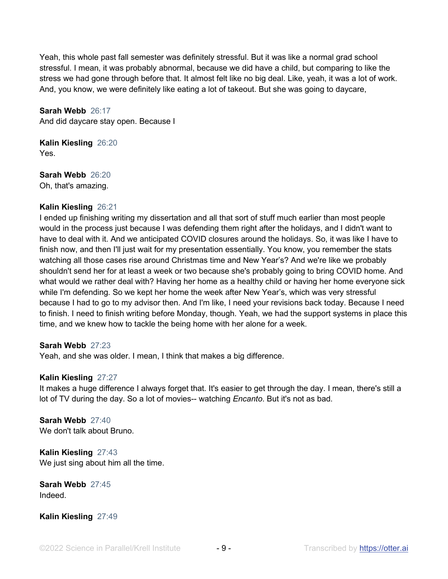Yeah, this whole past fall semester was definitely stressful. But it was like a normal grad school stressful. I mean, it was probably abnormal, because we did have a child, but comparing to like the stress we had gone through before that. It almost felt like no big deal. Like, yeah, it was a lot of work. And, you know, we were definitely like eating a lot of takeout. But she was going to daycare,

**Sarah Webb** 26:17 And did daycare stay open. Because I

**Kalin Kiesling** 26:20 Yes.

**Sarah Webb** 26:20 Oh, that's amazing.

## **Kalin Kiesling** 26:21

I ended up finishing writing my dissertation and all that sort of stuff much earlier than most people would in the process just because I was defending them right after the holidays, and I didn't want to have to deal with it. And we anticipated COVID closures around the holidays. So, it was like I have to finish now, and then I'll just wait for my presentation essentially. You know, you remember the stats watching all those cases rise around Christmas time and New Year's? And we're like we probably shouldn't send her for at least a week or two because she's probably going to bring COVID home. And what would we rather deal with? Having her home as a healthy child or having her home everyone sick while I'm defending. So we kept her home the week after New Year's, which was very stressful because I had to go to my advisor then. And I'm like, I need your revisions back today. Because I need to finish. I need to finish writing before Monday, though. Yeah, we had the support systems in place this time, and we knew how to tackle the being home with her alone for a week.

#### **Sarah Webb** 27:23

Yeah, and she was older. I mean, I think that makes a big difference.

#### **Kalin Kiesling** 27:27

It makes a huge difference I always forget that. It's easier to get through the day. I mean, there's still a lot of TV during the day. So a lot of movies-- watching *Encanto*. But it's not as bad.

**Sarah Webb** 27:40 We don't talk about Bruno.

**Kalin Kiesling** 27:43 We just sing about him all the time.

**Sarah Webb** 27:45 Indeed.

**Kalin Kiesling** 27:49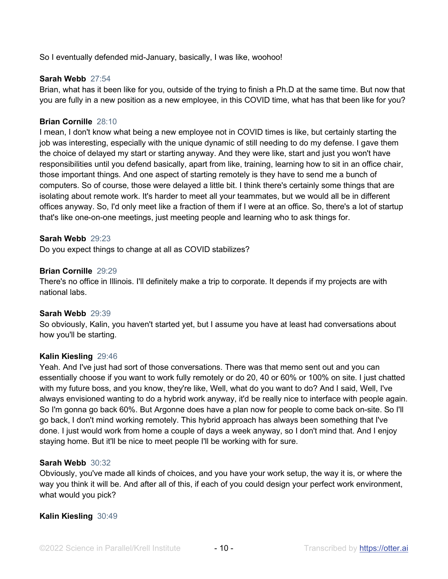So I eventually defended mid-January, basically, I was like, woohoo!

#### **Sarah Webb** 27:54

Brian, what has it been like for you, outside of the trying to finish a Ph.D at the same time. But now that you are fully in a new position as a new employee, in this COVID time, what has that been like for you?

#### **Brian Cornille** 28:10

I mean, I don't know what being a new employee not in COVID times is like, but certainly starting the job was interesting, especially with the unique dynamic of still needing to do my defense. I gave them the choice of delayed my start or starting anyway. And they were like, start and just you won't have responsibilities until you defend basically, apart from like, training, learning how to sit in an office chair, those important things. And one aspect of starting remotely is they have to send me a bunch of computers. So of course, those were delayed a little bit. I think there's certainly some things that are isolating about remote work. It's harder to meet all your teammates, but we would all be in different offices anyway. So, I'd only meet like a fraction of them if I were at an office. So, there's a lot of startup that's like one-on-one meetings, just meeting people and learning who to ask things for.

#### **Sarah Webb** 29:23

Do you expect things to change at all as COVID stabilizes?

#### **Brian Cornille** 29:29

There's no office in Illinois. I'll definitely make a trip to corporate. It depends if my projects are with national labs.

#### **Sarah Webb** 29:39

So obviously, Kalin, you haven't started yet, but I assume you have at least had conversations about how you'll be starting.

#### **Kalin Kiesling** 29:46

Yeah. And I've just had sort of those conversations. There was that memo sent out and you can essentially choose if you want to work fully remotely or do 20, 40 or 60% or 100% on site. I just chatted with my future boss, and you know, they're like, Well, what do you want to do? And I said, Well, I've always envisioned wanting to do a hybrid work anyway, it'd be really nice to interface with people again. So I'm gonna go back 60%. But Argonne does have a plan now for people to come back on-site. So I'll go back, I don't mind working remotely. This hybrid approach has always been something that I've done. I just would work from home a couple of days a week anyway, so I don't mind that. And I enjoy staying home. But it'll be nice to meet people I'll be working with for sure.

#### **Sarah Webb** 30:32

Obviously, you've made all kinds of choices, and you have your work setup, the way it is, or where the way you think it will be. And after all of this, if each of you could design your perfect work environment, what would you pick?

#### **Kalin Kiesling** 30:49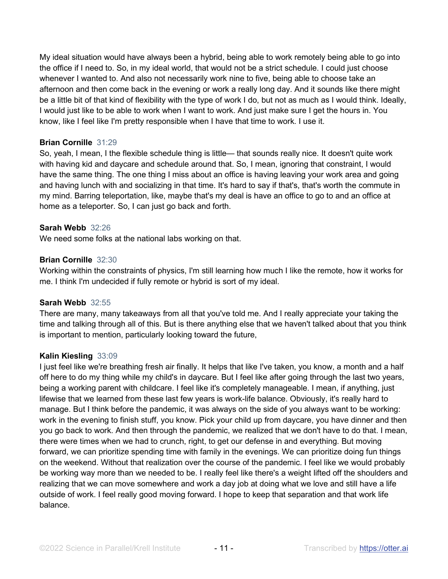My ideal situation would have always been a hybrid, being able to work remotely being able to go into the office if I need to. So, in my ideal world, that would not be a strict schedule. I could just choose whenever I wanted to. And also not necessarily work nine to five, being able to choose take an afternoon and then come back in the evening or work a really long day. And it sounds like there might be a little bit of that kind of flexibility with the type of work I do, but not as much as I would think. Ideally, I would just like to be able to work when I want to work. And just make sure I get the hours in. You know, like I feel like I'm pretty responsible when I have that time to work. I use it.

#### **Brian Cornille** 31:29

So, yeah, I mean, I the flexible schedule thing is little— that sounds really nice. It doesn't quite work with having kid and daycare and schedule around that. So, I mean, ignoring that constraint, I would have the same thing. The one thing I miss about an office is having leaving your work area and going and having lunch with and socializing in that time. It's hard to say if that's, that's worth the commute in my mind. Barring teleportation, like, maybe that's my deal is have an office to go to and an office at home as a teleporter. So, I can just go back and forth.

#### **Sarah Webb** 32:26

We need some folks at the national labs working on that.

#### **Brian Cornille** 32:30

Working within the constraints of physics, I'm still learning how much I like the remote, how it works for me. I think I'm undecided if fully remote or hybrid is sort of my ideal.

#### **Sarah Webb** 32:55

There are many, many takeaways from all that you've told me. And I really appreciate your taking the time and talking through all of this. But is there anything else that we haven't talked about that you think is important to mention, particularly looking toward the future,

#### **Kalin Kiesling** 33:09

I just feel like we're breathing fresh air finally. It helps that like I've taken, you know, a month and a half off here to do my thing while my child's in daycare. But I feel like after going through the last two years, being a working parent with childcare. I feel like it's completely manageable. I mean, if anything, just lifewise that we learned from these last few years is work-life balance. Obviously, it's really hard to manage. But I think before the pandemic, it was always on the side of you always want to be working: work in the evening to finish stuff, you know. Pick your child up from daycare, you have dinner and then you go back to work. And then through the pandemic, we realized that we don't have to do that. I mean, there were times when we had to crunch, right, to get our defense in and everything. But moving forward, we can prioritize spending time with family in the evenings. We can prioritize doing fun things on the weekend. Without that realization over the course of the pandemic. I feel like we would probably be working way more than we needed to be. I really feel like there's a weight lifted off the shoulders and realizing that we can move somewhere and work a day job at doing what we love and still have a life outside of work. I feel really good moving forward. I hope to keep that separation and that work life balance.